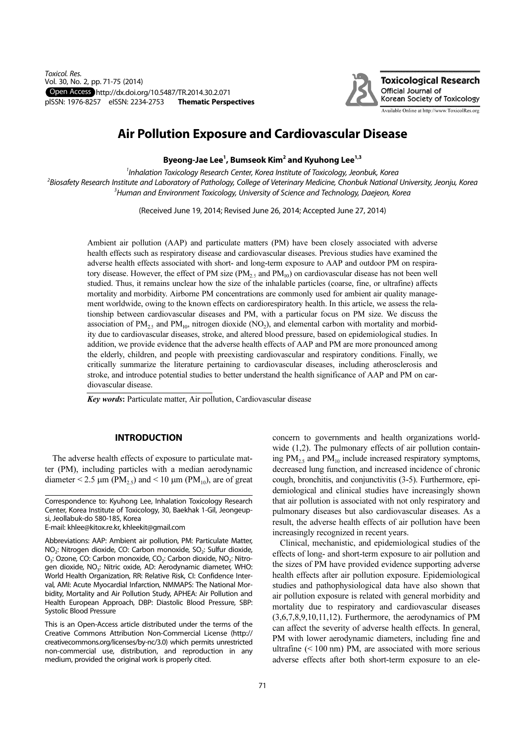

# **Air Pollution Exposure and Cardiovascular Disease**

Byeong-Jae Lee<sup>1</sup>, Bumseok Kim<sup>2</sup> and Kyuhong Lee<sup>1,3</sup>

<sup>1</sup>Inhalation Toxicology Research Center, Korea Institute of Toxicology, Jeonbuk, Korea <sup>2</sup>Biosafety Research Institute and Laboratory of Pathology, College of Veterinary Medicine, Chonbuk National University, Jeonju, Korea  $^3$ Human and Environment Toxicology, University of Science and Technology, Daejeon, Korea

(Received June 19, 2014; Revised June 26, 2014; Accepted June 27, 2014)

Ambient air pollution (AAP) and particulate matters (PM) have been closely associated with adverse health effects such as respiratory disease and cardiovascular diseases. Previous studies have examined the adverse health effects associated with short- and long-term exposure to AAP and outdoor PM on respiratory disease. However, the effect of PM size ( $PM_{2.5}$  and  $PM_{10}$ ) on cardiovascular disease has not been well studied. Thus, it remains unclear how the size of the inhalable particles (coarse, fine, or ultrafine) affects mortality and morbidity. Airborne PM concentrations are commonly used for ambient air quality management worldwide, owing to the known effects on cardiorespiratory health. In this article, we assess the relationship between cardiovascular diseases and PM, with a particular focus on PM size. We discuss the association of PM<sub>2</sub>, and PM<sub>10</sub>, nitrogen dioxide (NO<sub>2</sub>), and elemental carbon with mortality and morbidity due to cardiovascular diseases, stroke, and altered blood pressure, based on epidemiological studies. In addition, we provide evidence that the adverse health effects of AAP and PM are more pronounced among the elderly, children, and people with preexisting cardiovascular and respiratory conditions. Finally, we critically summarize the literature pertaining to cardiovascular diseases, including atherosclerosis and stroke, and introduce potential studies to better understand the health significance of AAP and PM on cardiovascular disease.

Key words: Particulate matter, Air pollution, Cardiovascular disease

#### **INTRODUCTION**

The adverse health effects of exposure to particulate matter (PM), including particles with a median aerodynamic diameter  $\leq$  2.5  $\mu$ m (PM<sub>25</sub>) and  $\leq$  10  $\mu$ m (PM<sub>10</sub>), are of great

Correspondence to: Kyuhong Lee, Inhalation Toxicology Research Center, Korea Institute of Toxicology, 30, Baekhak 1-Gil, Jeongeupsi, Jeollabuk-do 580-185, Korea

E-mail: khlee@kitox.re.kr, khleekit@gmail.com

Abbreviations: AAP: Ambient air pollution, PM: Particulate Matter, NO<sub>2</sub>: Nitrogen dioxide, CO: Carbon monoxide, SO<sub>2</sub>: Sulfur dioxide, O<sub>3</sub>: Ozone, CO: Carbon monoxide, CO<sub>2</sub>: Carbon dioxide, NO<sub>2</sub>: Nitrogen dioxide, NO<sub>3</sub>: Nitric oxide, AD: Aerodynamic diameter, WHO: World Health Organization, RR: Relative Risk, CI: Confidence Interval, AMI: Acute Myocardial Infarction, NMMAPS: The National Morbidity, Mortality and Air Pollution Study, APHEA: Air Pollution and Health European Approach, DBP: Diastolic Blood Pressure, SBP: Systolic Blood Pressure

This is an Open-Access article distributed under the terms of the Creative Commons Attribution Non-Commercial License (http:// creativecommons.org/licenses/by-nc/3.0) which permits unrestricted non-commercial use, distribution, and reproduction in any medium, provided the original work is properly cited.

concern to governments and health organizations worldwide (1,2). The pulmonary effects of air pollution containing  $PM_{2.5}$  and  $PM_{10}$  include increased respiratory symptoms, decreased lung function, and increased incidence of chronic cough, bronchitis, and conjunctivitis (3-5). Furthermore, epidemiological and clinical studies have increasingly shown that air pollution is associated with not only respiratory and pulmonary diseases but also cardiovascular diseases. As a result, the adverse health effects of air pollution have been increasingly recognized in recent years.

Clinical, mechanistic, and epidemiological studies of the effects of long- and short-term exposure to air pollution and the sizes of PM have provided evidence supporting adverse health effects after air pollution exposure. Epidemiological studies and pathophysiological data have also shown that air pollution exposure is related with general morbidity and mortality due to respiratory and cardiovascular diseases  $(3,6,7,8,9,10,11,12)$ . Furthermore, the aerodynamics of PM can affect the severity of adverse health effects. In general, PM with lower aerodynamic diameters, including fine and ultrafine  $(< 100 \text{ nm})$  PM, are associated with more serious adverse effects after both short-term exposure to an ele-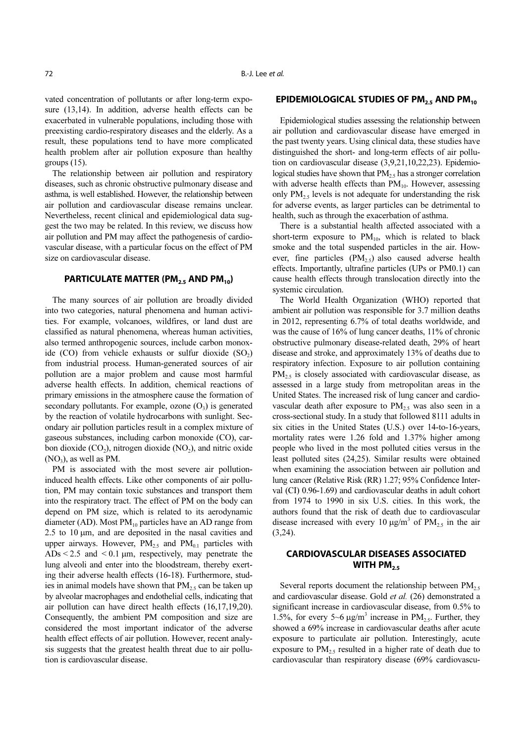vated concentration of pollutants or after long-term exposure (13,14). In addition, adverse health effects can be exacerbated in vulnerable populations, including those with preexisting cardio-respiratory diseases and the elderly. As a result, these populations tend to have more complicated health problem after air pollution exposure than healthy groups  $(15)$ .

The relationship between air pollution and respiratory diseases, such as chronic obstructive pulmonary disease and asthma, is well established. However, the relationship between air pollution and cardiovascular disease remains unclear. Nevertheless, recent clinical and epidemiological data suggest the two may be related. In this review, we discuss how air pollution and PM may affect the pathogenesis of cardiovascular disease, with a particular focus on the effect of PM size on cardiovascular disease.

## **PARTICULATE MATTER (PM<sub>2.5</sub> AND PM<sub>10</sub>)**

The many sources of air pollution are broadly divided into two categories, natural phenomena and human activities. For example, volcanoes, wildfires, or land dust are classified as natural phenomena, whereas human activities, also termed anthropogenic sources, include carbon monoxide  $(CO)$  from vehicle exhausts or sulfur dioxide  $(SO<sub>2</sub>)$ from industrial process. Human-generated sources of air pollution are a major problem and cause most harmful adverse health effects. In addition, chemical reactions of primary emissions in the atmosphere cause the formation of secondary pollutants. For example, ozone  $(O_3)$  is generated by the reaction of volatile hydrocarbons with sunlight. Secondary air pollution particles result in a complex mixture of gaseous substances, including carbon monoxide (CO), carbon dioxide  $(CO<sub>2</sub>)$ , nitrogen dioxide  $(NO<sub>2</sub>)$ , and nitric oxide  $(NO<sub>3</sub>)$ , as well as PM.

PM is associated with the most severe air pollutioninduced health effects. Like other components of air pollution, PM may contain toxic substances and transport them into the respiratory tract. The effect of PM on the body can depend on PM size, which is related to its aerodynamic diameter (AD). Most  $PM_{10}$  particles have an AD range from 2.5 to 10  $\mu$ m, and are deposited in the nasal cavities and upper airways. However,  $PM_{2.5}$  and  $PM_{0.1}$  particles with ADs  $< 2.5$  and  $< 0.1$  µm, respectively, may penetrate the lung alveoli and enter into the bloodstream, thereby exerting their adverse health effects (16-18). Furthermore, studies in animal models have shown that  $PM_2$ , can be taken up by alveolar macrophages and endothelial cells, indicating that air pollution can have direct health effects (16,17,19,20). Consequently, the ambient PM composition and size are considered the most important indicator of the adverse health effect effects of air pollution. However, recent analysis suggests that the greatest health threat due to air pollution is cardiovascular disease.

#### **EPIDEMIOLOGICAL STUDIES OF PM<sub>2.5</sub> AND PM<sub>10</sub>**

Epidemiological studies assessing the relationship between air pollution and cardiovascular disease have emerged in the past twenty years. Using clinical data, these studies have distinguished the short- and long-term effects of air pollution on cardiovascular disease (3,9,21,10,22,23). Epidemiological studies have shown that  $PM_{2.5}$  has a stronger correlation with adverse health effects than  $PM_{10}$ . However, assessing only  $PM_{2.5}$  levels is not adequate for understanding the risk for adverse events, as larger particles can be detrimental to health, such as through the exacerbation of asthma.

There is a substantial health affected associated with a short-term exposure to  $PM_{10}$ , which is related to black smoke and the total suspended particles in the air. However, fine particles  $(PM_{2.5})$  also caused adverse health effects. Importantly, ultrafine particles (UPs or PM0.1) can cause health effects through translocation directly into the systemic circulation.

The World Health Organization (WHO) reported that ambient air pollution was responsible for 3.7 million deaths in 2012, representing 6.7% of total deaths worldwide, and was the cause of 16% of lung cancer deaths, 11% of chronic obstructive pulmonary disease-related death, 29% of heart disease and stroke, and approximately 13% of deaths due to respiratory infection. Exposure to air pollution containing  $PM<sub>2.5</sub>$  is closely associated with cardiovascular disease, as assessed in a large study from metropolitan areas in the United States. The increased risk of lung cancer and cardiovascular death after exposure to  $PM<sub>25</sub>$  was also seen in a cross-sectional study. In a study that followed 8111 adults in six cities in the United States (U.S.) over 14-to-16-years, mortality rates were 1.26 fold and 1.37% higher among people who lived in the most polluted cities versus in the least polluted sites (24,25). Similar results were obtained when examining the association between air pollution and lung cancer (Relative Risk (RR) 1.27; 95% Confidence Interval (CI) 0.96-1.69) and cardiovascular deaths in adult cohort from 1974 to 1990 in six U.S. cities. In this work, the authors found that the risk of death due to cardiovascular disease increased with every 10  $\mu$ g/m<sup>3</sup> of PM<sub>2.5</sub> in the air  $(3,24)$ .

### **CARDIOVASCULAR DISEASES ASSOCIATED** WITH PM<sub>25</sub>

Several reports document the relationship between  $PM_{2.5}$ and cardiovascular disease. Gold et al. (26) demonstrated a significant increase in cardiovascular disease, from 0.5% to 1.5%, for every 5~6  $\mu$ g/m<sup>3</sup> increase in PM<sub>2.5</sub>. Further, they showed a 69% increase in cardiovascular deaths after acute exposure to particulate air pollution. Interestingly, acute exposure to  $PM<sub>2.5</sub>$  resulted in a higher rate of death due to cardiovascular than respiratory disease (69% cardiovascu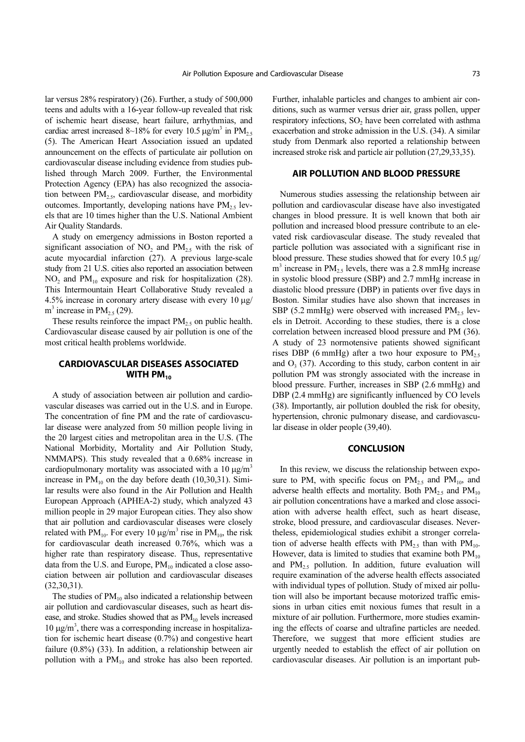lar versus 28% respiratory) (26). Further, a study of 500,000 teens and adults with a 16-year follow-up revealed that risk of ischemic heart disease, heart failure, arrhythmias, and cardiac arrest increased 8~18% for every 10.5  $\mu$ g/m<sup>3</sup> in PM<sub>2.5</sub> (5). The American Heart Association issued an updated announcement on the effects of particulate air pollution on cardiovascular disease including evidence from studies published through March 2009. Further, the Environmental Protection Agency (EPA) has also recognized the association between  $PM<sub>2.5</sub>$ , cardiovascular disease, and morbidity outcomes. Importantly, developing nations have  $PM_{2.5}$  levels that are 10 times higher than the U.S. National Ambient Air Quality Standards.

A study on emergency admissions in Boston reported a significant association of  $NO<sub>2</sub>$  and  $PM<sub>2.5</sub>$  with the risk of acute myocardial infarction (27). A previous large-scale study from 21 U.S. cities also reported an association between  $NO<sub>2</sub>$  and  $PM<sub>10</sub>$  exposure and risk for hospitalization (28). This Intermountain Heart Collaborative Study revealed a 4.5% increase in coronary artery disease with every 10 µg/  $m^3$  increase in PM<sub>2.5</sub> (29).

These results reinforce the impact  $PM<sub>2.5</sub>$  on public health. Cardiovascular disease caused by air pollution is one of the most critical health problems worldwide.

#### **CARDIOVASCULAR DISEASES ASSOCIATED** WITH PM<sub>10</sub>

A study of association between air pollution and cardiovascular diseases was carried out in the U.S. and in Europe. The concentration of fine PM and the rate of cardiovascular disease were analyzed from 50 million people living in the 20 largest cities and metropolitan area in the U.S. (The National Morbidity, Mortality and Air Pollution Study, NMMAPS). This study revealed that a 0.68% increase in cardiopulmonary mortality was associated with a 10  $\mu$ g/m<sup>3</sup> increase in  $PM_{10}$  on the day before death (10,30,31). Similar results were also found in the Air Pollution and Health European Approach (APHEA-2) study, which analyzed 43 million people in 29 major European cities. They also show that air pollution and cardiovascular diseases were closely related with PM<sub>10</sub>. For every 10  $\mu$ g/m<sup>3</sup> rise in PM<sub>10</sub>, the risk for cardiovascular death increased 0.76%, which was a higher rate than respiratory disease. Thus, representative data from the U.S. and Europe,  $PM_{10}$  indicated a close association between air pollution and cardiovascular diseases (32,30,31).

The studies of  $PM_{10}$  also indicated a relationship between air pollution and cardiovascular diseases, such as heart disease, and stroke. Studies showed that as  $PM_{10}$  levels increased  $10 \mu g/m<sup>3</sup>$ , there was a corresponding increase in hospitalization for ischemic heart disease (0.7%) and congestive heart failure (0.8%) (33). In addition, a relationship between air pollution with a  $PM_{10}$  and stroke has also been reported.

Further, inhalable particles and changes to ambient air conditions, such as warmer versus drier air, grass pollen, upper respiratory infections,  $SO_2$  have been correlated with asthma exacerbation and stroke admission in the U.S. (34). A similar study from Denmark also reported a relationship between increased stroke risk and particle air pollution (27,29,33,35).

#### **AIR POLLUTION AND BLOOD PRESSURE**

Numerous studies assessing the relationship between air pollution and cardiovascular disease have also investigated changes in blood pressure. It is well known that both air pollution and increased blood pressure contribute to an elevated risk cardiovascular disease. The study revealed that particle pollution was associated with a significant rise in blood pressure. These studies showed that for every 10.5 µg/  $m<sup>3</sup>$  increase in PM<sub>2.5</sub> levels, there was a 2.8 mmHg increase in systolic blood pressure (SBP) and 2.7 mmHg increase in diastolic blood pressure (DBP) in patients over five days in Boston. Similar studies have also shown that increases in SBP (5.2 mmHg) were observed with increased  $PM_{2.5}$  levels in Detroit. According to these studies, there is a close correlation between increased blood pressure and PM (36). A study of 23 normotensive patients showed significant rises DBP (6 mmHg) after a two hour exposure to  $PM_{2.5}$ and  $O<sub>3</sub>$  (37). According to this study, carbon content in air pollution PM was strongly associated with the increase in blood pressure. Further, increases in SBP (2.6 mmHg) and DBP (2.4 mmHg) are significantly influenced by CO levels (38). Importantly, air pollution doubled the risk for obesity, hypertension, chronic pulmonary disease, and cardiovascular disease in older people (39,40).

#### **CONCLUSION**

In this review, we discuss the relationship between exposure to PM, with specific focus on  $PM_{2.5}$  and  $PM_{10}$ , and adverse health effects and mortality. Both  $PM_{2.5}$  and  $PM_{10}$ air pollution concentrations have a marked and close association with adverse health effect, such as heart disease, stroke, blood pressure, and cardiovascular diseases. Nevertheless, epidemiological studies exhibit a stronger correlation of adverse health effects with  $PM_{25}$  than with  $PM_{10}$ . However, data is limited to studies that examine both  $PM_{10}$ and  $PM_{2.5}$  pollution. In addition, future evaluation will require examination of the adverse health effects associated with individual types of pollution. Study of mixed air pollution will also be important because motorized traffic emissions in urban cities emit noxious fumes that result in a mixture of air pollution. Furthermore, more studies examining the effects of coarse and ultrafine particles are needed. Therefore, we suggest that more efficient studies are urgently needed to establish the effect of air pollution on cardiovascular diseases. Air pollution is an important pub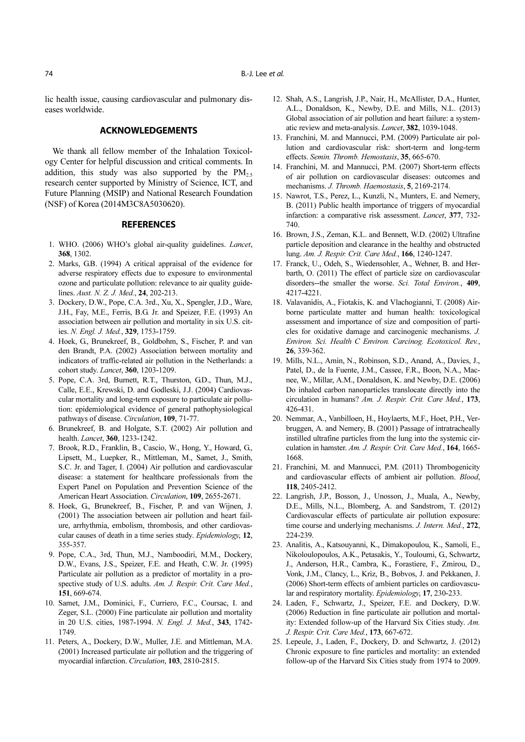lic health issue, causing cardiovascular and pulmonary diseases worldwide.

#### **ACKNOWLEDGEMENTS**

We thank all fellow member of the Inhalation Toxicology Center for helpful discussion and critical comments. In addition, this study was also supported by the  $PM_{2.5}$ research center supported by Ministry of Science, ICT, and Future Planning (MSIP) and National Research Foundation (NSF) of Korea (2014M3C8A5030620).

#### **REFERENCES**

- 1. WHO. (2006) WHO's global air-quality guidelines. Lancet, 368, 1302.
- 2. Marks, G.B. (1994) A critical appraisal of the evidence for adverse respiratory effects due to exposure to environmental ozone and particulate pollution: relevance to air quality guidelines. Aust. N. Z. J. Med., 24, 202-213.
- 3. Dockery, D.W., Pope, C.A. 3rd., Xu, X., Spengler, J.D., Ware, J.H., Fay, M.E., Ferris, B.G. Jr. and Speizer, F.E. (1993) An association between air pollution and mortality in six U.S. cities. N. Engl. J. Med., 329, 1753-1759.
- 4. Hoek, G., Brunekreef, B., Goldbohm, S., Fischer, P. and van den Brandt, P.A. (2002) Association between mortality and indicators of traffic-related air pollution in the Netherlands: a cohort study. Lancet, 360, 1203-1209.
- 5. Pope, C.A. 3rd, Burnett, R.T., Thurston, G.D., Thun, M.J., Calle, E.E., Krewski, D. and Godleski, J.J. (2004) Cardiovascular mortality and long-term exposure to particulate air pollution: epidemiological evidence of general pathophysiological pathways of disease. Circulation, 109, 71-77.
- 6. Brunekreef, B. and Holgate, S.T. (2002) Air pollution and health. Lancet, 360, 1233-1242.
- 7. Brook, R.D., Franklin, B., Cascio, W., Hong, Y., Howard, G., Lipsett, M., Luepker, R., Mittleman, M., Samet, J., Smith, S.C. Jr. and Tager, I. (2004) Air pollution and cardiovascular disease: a statement for healthcare professionals from the Expert Panel on Population and Prevention Science of the American Heart Association. Circulation, 109, 2655-2671.
- 8. Hoek, G., Brunekreef, B., Fischer, P. and van Wijnen, J. (2001) The association between air pollution and heart failure, arrhythmia, embolism, thrombosis, and other cardiovascular causes of death in a time series study. Epidemiology, 12, 355-357.
- 9. Pope, C.A., 3rd, Thun, M.J., Namboodiri, M.M., Dockery, D.W., Evans, J.S., Speizer, F.E. and Heath, C.W. Jr. (1995) Particulate air pollution as a predictor of mortality in a prospective study of U.S. adults. Am. J. Respir. Crit. Care Med., 151, 669-674.
- 10. Samet, J.M., Dominici, F., Curriero, F.C., Coursac, I. and Zeger, S.L. (2000) Fine particulate air pollution and mortality in 20 U.S. cities, 1987-1994. N. Engl. J. Med., 343, 1742- 1749.
- 11. Peters, A., Dockery, D.W., Muller, J.E. and Mittleman, M.A. (2001) Increased particulate air pollution and the triggering of myocardial infarction. Circulation, 103, 2810-2815.
- 12. Shah, A.S., Langrish, J.P., Nair, H., McAllister, D.A., Hunter, A.L., Donaldson, K., Newby, D.E. and Mills, N.L. (2013) Global association of air pollution and heart failure: a systematic review and meta-analysis. Lancet, 382, 1039-1048.
- 13. Franchini, M. and Mannucci, P.M. (2009) Particulate air pollution and cardiovascular risk: short-term and long-term effects. Semin. Thromb. Hemostasis, 35, 665-670.
- 14. Franchini, M. and Mannucci, P.M. (2007) Short-term effects of air pollution on cardiovascular diseases: outcomes and mechanisms. J. Thromb. Haemostasis, 5, 2169-2174.
- 15. Nawrot, T.S., Perez, L., Kunzli, N., Munters, E. and Nemery, B. (2011) Public health importance of triggers of myocardial infarction: a comparative risk assessment. *Lancet*, 377, 732-740.
- 16. Brown, J.S., Zeman, K.L. and Bennett, W.D. (2002) Ultrafine particle deposition and clearance in the healthy and obstructed lung. Am. J. Respir. Crit. Care Med., 166, 1240-1247.
- 17. Franck, U., Odeh, S., Wiedensohler, A., Wehner, B. and Herbarth, O. (2011) The effect of particle size on cardiovascular disorders--the smaller the worse. Sci. Total Environ., 409, 4217-4221.
- 18. Valavanidis, A., Fiotakis, K. and Vlachogianni, T. (2008) Airborne particulate matter and human health: toxicological assessment and importance of size and composition of particles for oxidative damage and carcinogenic mechanisms. J. Environ. Sci. Health C Environ. Carcinog. Ecotoxicol. Rev., 26, 339-362.
- 19. Mills, N.L., Amin, N., Robinson, S.D., Anand, A., Davies, J., Patel, D., de la Fuente, J.M., Cassee, F.R., Boon, N.A., Macnee, W., Millar, A.M., Donaldson, K. and Newby, D.E. (2006) Do inhaled carbon nanoparticles translocate directly into the circulation in humans? Am. J. Respir. Crit. Care Med., 173, 426-431.
- 20. Nemmar, A., Vanbilloen, H., Hoylaerts, M.F., Hoet, P.H., Verbruggen, A. and Nemery, B. (2001) Passage of intratracheally instilled ultrafine particles from the lung into the systemic circulation in hamster. Am. J. Respir. Crit. Care Med., 164, 1665- 1668.
- 21. Franchini, M. and Mannucci, P.M. (2011) Thrombogenicity and cardiovascular effects of ambient air pollution. Blood, 118, 2405-2412.
- 22. Langrish, J.P., Bosson, J., Unosson, J., Muala, A., Newby, D.E., Mills, N.L., Blomberg, A. and Sandstrom, T. (2012) Cardiovascular effects of particulate air pollution exposure: time course and underlying mechanisms. J. Intern. Med., 272, 224-239.
- 23. Analitis, A., Katsouyanni, K., Dimakopoulou, K., Samoli, E., Nikoloulopoulos, A.K., Petasakis, Y., Touloumi, G., Schwartz, J., Anderson, H.R., Cambra, K., Forastiere, F., Zmirou, D., Vonk, J.M., Clancy, L., Kriz, B., Bobvos, J. and Pekkanen, J. (2006) Short-term effects of ambient particles on cardiovascular and respiratory mortality. Epidemiology, 17, 230-233.
- 24. Laden, F., Schwartz, J., Speizer, F.E. and Dockery, D.W. (2006) Reduction in fine particulate air pollution and mortality: Extended follow-up of the Harvard Six Cities study. Am. J. Respir. Crit. Care Med., 173, 667-672.
- 25. Lepeule, J., Laden, F., Dockery, D. and Schwartz, J. (2012) Chronic exposure to fine particles and mortality: an extended follow-up of the Harvard Six Cities study from 1974 to 2009.